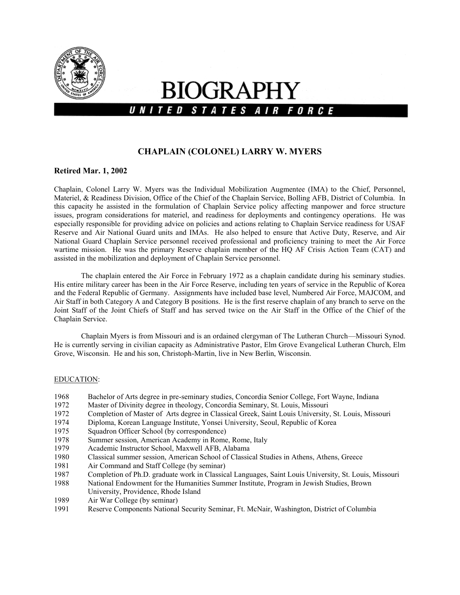

# **BIOGRAPHY** UNITED STATES AIR FORCE

# **CHAPLAIN (COLONEL) LARRY W. MYERS**

#### **Retired Mar. 1, 2002**

Chaplain, Colonel Larry W. Myers was the Individual Mobilization Augmentee (IMA) to the Chief, Personnel, Materiel, & Readiness Division, Office of the Chief of the Chaplain Service, Bolling AFB, District of Columbia. In this capacity he assisted in the formulation of Chaplain Service policy affecting manpower and force structure issues, program considerations for materiel, and readiness for deployments and contingency operations. He was especially responsible for providing advice on policies and actions relating to Chaplain Service readiness for USAF Reserve and Air National Guard units and IMAs. He also helped to ensure that Active Duty, Reserve, and Air National Guard Chaplain Service personnel received professional and proficiency training to meet the Air Force wartime mission. He was the primary Reserve chaplain member of the HQ AF Crisis Action Team (CAT) and assisted in the mobilization and deployment of Chaplain Service personnel.

The chaplain entered the Air Force in February 1972 as a chaplain candidate during his seminary studies. His entire military career has been in the Air Force Reserve, including ten years of service in the Republic of Korea and the Federal Republic of Germany. Assignments have included base level, Numbered Air Force, MAJCOM, and Air Staff in both Category A and Category B positions. He is the first reserve chaplain of any branch to serve on the Joint Staff of the Joint Chiefs of Staff and has served twice on the Air Staff in the Office of the Chief of the Chaplain Service.

Chaplain Myers is from Missouri and is an ordained clergyman of The Lutheran Church—Missouri Synod. He is currently serving in civilian capacity as Administrative Pastor, Elm Grove Evangelical Lutheran Church, Elm Grove, Wisconsin. He and his son, Christoph-Martin, live in New Berlin, Wisconsin.

#### EDUCATION:

- 1968 Bachelor of Arts degree in pre-seminary studies, Concordia Senior College, Fort Wayne, Indiana
- 1972 Master of Divinity degree in theology, Concordia Seminary, St. Louis, Missouri
- 1972 Completion of Master of Arts degree in Classical Greek, Saint Louis University, St. Louis, Missouri
- 1974 Diploma, Korean Language Institute, Yonsei University, Seoul, Republic of Korea
- 1975 Squadron Officer School (by correspondence)
- 1978 Summer session, American Academy in Rome, Rome, Italy
- 1979 Academic Instructor School, Maxwell AFB, Alabama
- 1980 Classical summer session, American School of Classical Studies in Athens, Athens, Greece
- 1981 Air Command and Staff College (by seminar)
- 1987 Completion of Ph.D. graduate work in Classical Languages, Saint Louis University, St. Louis, Missouri
- 1988 National Endowment for the Humanities Summer Institute, Program in Jewish Studies, Brown University, Providence, Rhode Island
- 1989 Air War College (by seminar)
- 1991 Reserve Components National Security Seminar, Ft. McNair, Washington, District of Columbia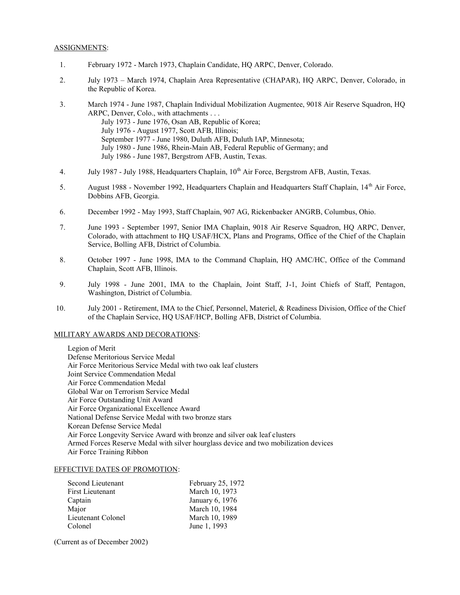#### ASSIGNMENTS:

- 1. February 1972 March 1973, Chaplain Candidate, HQ ARPC, Denver, Colorado.
- 2. July 1973 March 1974, Chaplain Area Representative (CHAPAR), HQ ARPC, Denver, Colorado, in the Republic of Korea.
- 3. March 1974 June 1987, Chaplain Individual Mobilization Augmentee, 9018 Air Reserve Squadron, HQ ARPC, Denver, Colo., with attachments . . . July 1973 - June 1976, Osan AB, Republic of Korea; July 1976 - August 1977, Scott AFB, Illinois; September 1977 - June 1980, Duluth AFB, Duluth IAP, Minnesota; July 1980 - June 1986, Rhein-Main AB, Federal Republic of Germany; and July 1986 - June 1987, Bergstrom AFB, Austin, Texas.
- 4. July 1987 July 1988, Headquarters Chaplain,  $10<sup>th</sup>$  Air Force, Bergstrom AFB, Austin, Texas.
- 5. August 1988 November 1992, Headquarters Chaplain and Headquarters Staff Chaplain, 14<sup>th</sup> Air Force, Dobbins AFB, Georgia.
- 6. December 1992 May 1993, Staff Chaplain, 907 AG, Rickenbacker ANGRB, Columbus, Ohio.
- 7. June 1993 September 1997, Senior IMA Chaplain, 9018 Air Reserve Squadron, HQ ARPC, Denver, Colorado, with attachment to HQ USAF/HCX, Plans and Programs, Office of the Chief of the Chaplain Service, Bolling AFB, District of Columbia.
- 8. October 1997 June 1998, IMA to the Command Chaplain, HQ AMC/HC, Office of the Command Chaplain, Scott AFB, Illinois.
- 9. July 1998 June 2001, IMA to the Chaplain, Joint Staff, J-1, Joint Chiefs of Staff, Pentagon, Washington, District of Columbia.
- 10. July 2001 Retirement, IMA to the Chief, Personnel, Materiel, & Readiness Division, Office of the Chief of the Chaplain Service, HQ USAF/HCP, Bolling AFB, District of Columbia.

#### MILITARY AWARDS AND DECORATIONS:

Legion of Merit Defense Meritorious Service Medal Air Force Meritorious Service Medal with two oak leaf clusters Joint Service Commendation Medal Air Force Commendation Medal Global War on Terrorism Service Medal Air Force Outstanding Unit Award Air Force Organizational Excellence Award National Defense Service Medal with two bronze stars Korean Defense Service Medal Air Force Longevity Service Award with bronze and silver oak leaf clusters Armed Forces Reserve Medal with silver hourglass device and two mobilization devices Air Force Training Ribbon

#### EFFECTIVE DATES OF PROMOTION:

| February 25, 1972 |
|-------------------|
| March 10, 1973    |
| January 6, 1976   |
| March 10, 1984    |
| March 10, 1989    |
| June 1, 1993      |
|                   |

(Current as of December 2002)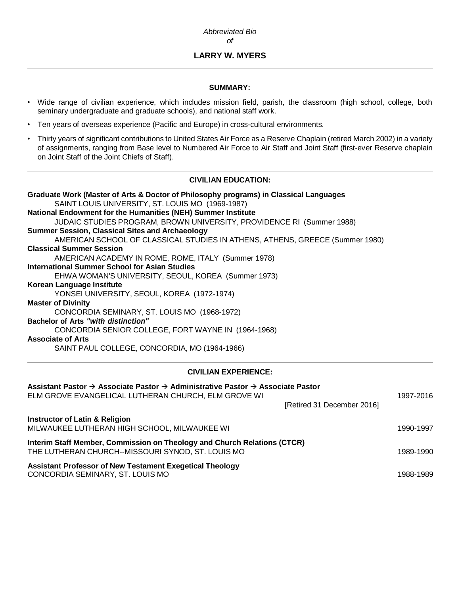# **LARRY W. MYERS**

## **SUMMARY:**

- Wide range of civilian experience, which includes mission field, parish, the classroom (high school, college, both seminary undergraduate and graduate schools), and national staff work.
- Ten years of overseas experience (Pacific and Europe) in cross-cultural environments.
- Thirty years of significant contributions to United States Air Force as a Reserve Chaplain (retired March 2002) in a variety of assignments, ranging from Base level to Numbered Air Force to Air Staff and Joint Staff (first-ever Reserve chaplain on Joint Staff of the Joint Chiefs of Staff).

# **CIVILIAN EDUCATION:**

**Graduate Work (Master of Arts & Doctor of Philosophy programs) in Classical Languages** SAINT LOUIS UNIVERSITY, ST. LOUIS MO (1969-1987) **National Endowment for the Humanities (NEH) Summer Institute** JUDAIC STUDIES PROGRAM, BROWN UNIVERSITY, PROVIDENCE RI (Summer 1988) **Summer Session, Classical Sites and Archaeology** AMERICAN SCHOOL OF CLASSICAL STUDIES IN ATHENS, ATHENS, GREECE (Summer 1980) **Classical Summer Session** AMERICAN ACADEMY IN ROME, ROME, ITALY (Summer 1978) **International Summer School for Asian Studies** EHWA WOMAN'S UNIVERSITY, SEOUL, KOREA (Summer 1973) **Korean Language Institute** YONSEI UNIVERSITY, SEOUL, KOREA (1972-1974) **Master of Divinity** CONCORDIA SEMINARY, ST. LOUIS MO (1968-1972) **Bachelor of Arts** *"with distinction"* CONCORDIA SENIOR COLLEGE, FORT WAYNE IN (1964-1968) **Associate of Arts** SAINT PAUL COLLEGE, CONCORDIA, MO (1964-1966)

## **CIVILIAN EXPERIENCE:**

| Assistant Pastor $\rightarrow$ Associate Pastor $\rightarrow$ Administrative Pastor $\rightarrow$ Associate Pastor<br>ELM GROVE EVANGELICAL LUTHERAN CHURCH, ELM GROVE WI | 1997-2016 |
|---------------------------------------------------------------------------------------------------------------------------------------------------------------------------|-----------|
| [Retired 31 December 2016]                                                                                                                                                |           |
| <b>Instructor of Latin &amp; Religion</b><br>MILWAUKEE LUTHERAN HIGH SCHOOL, MILWAUKEE WI                                                                                 | 1990-1997 |
| Interim Staff Member, Commission on Theology and Church Relations (CTCR)<br>THE LUTHERAN CHURCH--MISSOURI SYNOD, ST. LOUIS MO                                             | 1989-1990 |
| <b>Assistant Professor of New Testament Exegetical Theology</b><br>CONCORDIA SEMINARY, ST. LOUIS MO                                                                       | 1988-1989 |